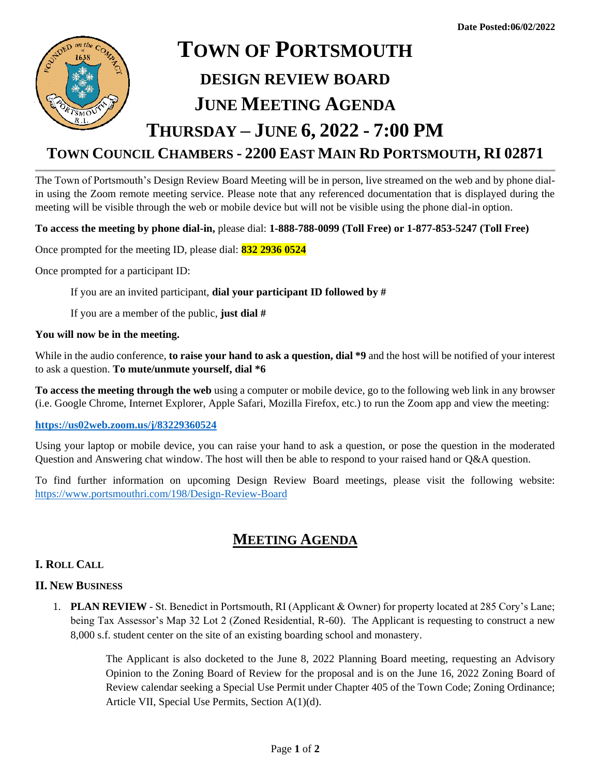

# **TOWN COUNCIL CHAMBERS - 2200 EAST MAIN RD PORTSMOUTH, RI 02871**

The Town of Portsmouth's Design Review Board Meeting will be in person, live streamed on the web and by phone dialin using the Zoom remote meeting service. Please note that any referenced documentation that is displayed during the meeting will be visible through the web or mobile device but will not be visible using the phone dial-in option.

### **To access the meeting by phone dial-in,** please dial: **1-888-788-0099 (Toll Free) or 1-877-853-5247 (Toll Free)**

Once prompted for the meeting ID, please dial: **832 2936 0524**

Once prompted for a participant ID:

If you are an invited participant, **dial your participant ID followed by #**

If you are a member of the public, **just dial #**

### **You will now be in the meeting.**

While in the audio conference, **to raise your hand to ask a question, dial \*9** and the host will be notified of your interest to ask a question. **To mute/unmute yourself, dial \*6**

**To access the meeting through the web** using a computer or mobile device, go to the following web link in any browser (i.e. Google Chrome, Internet Explorer, Apple Safari, Mozilla Firefox, etc.) to run the Zoom app and view the meeting:

#### **<https://us02web.zoom.us/j/83229360524>**

Using your laptop or mobile device, you can raise your hand to ask a question, or pose the question in the moderated Question and Answering chat window. The host will then be able to respond to your raised hand or Q&A question.

To find further information on upcoming Design Review Board meetings, please visit the following website: <https://www.portsmouthri.com/198/Design-Review-Board>

# **MEETING AGENDA**

## **I. ROLL CALL**

### **II. NEW BUSINESS**

1. **PLAN REVIEW** - St. Benedict in Portsmouth, RI (Applicant & Owner) for property located at 285 Cory's Lane; being Tax Assessor's Map 32 Lot 2 (Zoned Residential, R-60). The Applicant is requesting to construct a new 8,000 s.f. student center on the site of an existing boarding school and monastery.

> The Applicant is also docketed to the June 8, 2022 Planning Board meeting, requesting an Advisory Opinion to the Zoning Board of Review for the proposal and is on the June 16, 2022 Zoning Board of Review calendar seeking a Special Use Permit under Chapter 405 of the Town Code; Zoning Ordinance; Article VII, Special Use Permits, Section A(1)(d).